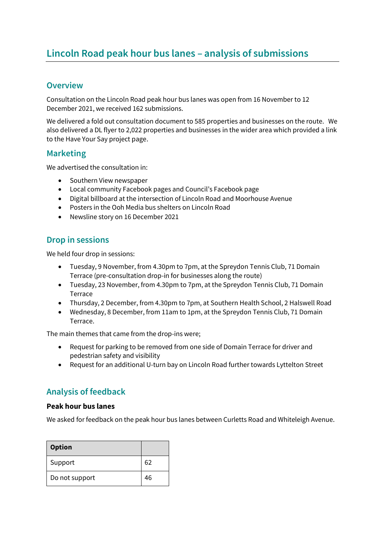# **Lincoln Road peak hour bus lanes – analysis of submissions**

# **Overview**

Consultation on the Lincoln Road peak hour bus lanes was open from 16 November to 12 December 2021, we received 162 submissions.

We delivered a fold out consultation document to 585 properties and businesses on the route. We also delivered a DL flyer to 2,022 properties and businesses in the wider area which provided a link to the Have Your Say project page.

### **Marketing**

We advertised the consultation in:

- Southern View newspaper
- Local community Facebook pages and Council's Facebook page
- Digital billboard at the intersection of Lincoln Road and Moorhouse Avenue
- Posters in the Ooh Media bus shelters on Lincoln Road
- Newsline story on 16 December 2021

# **Drop in sessions**

We held four drop in sessions:

- Tuesday, 9 November, from 4.30pm to 7pm, at the Spreydon Tennis Club, 71 Domain Terrace (pre-consultation drop-in for businesses along the route)
- Tuesday, 23 November, from 4.30pm to 7pm, at the Spreydon Tennis Club, 71 Domain Terrace
- Thursday, 2 December, from 4.30pm to 7pm, at Southern Health School, 2 Halswell Road
- Wednesday, 8 December, from 11am to 1pm, at the Spreydon Tennis Club, 71 Domain Terrace.

The main themes that came from the drop-ins were;

- Request for parking to be removed from one side of Domain Terrace for driver and pedestrian safety and visibility
- Request for an additional U-turn bay on Lincoln Road further towards Lyttelton Street

# **Analysis of feedback**

#### **Peak hour bus lanes**

We asked for feedback on the peak hour bus lanes between Curletts Road and Whiteleigh Avenue.

| <b>Option</b>  |    |
|----------------|----|
| Support        | 62 |
| Do not support | 46 |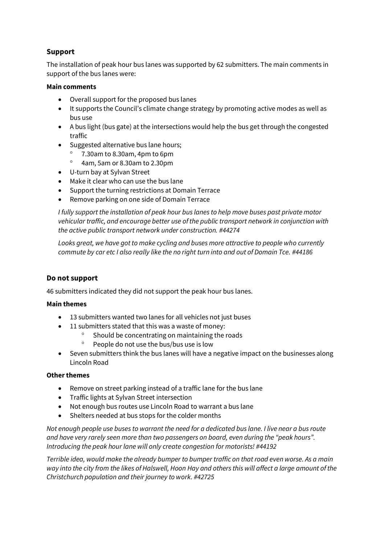# **Support**

The installation of peak hour bus lanes was supported by 62 submitters. The main comments in support of the bus lanes were:

#### **Main comments**

- Overall support for the proposed bus lanes
- It supports the Council's climate change strategy by promoting active modes as well as bus use
- A bus light (bus gate) at the intersections would help the bus get through the congested traffic
- Suggested alternative bus lane hours;
	- 7.30am to 8.30am, 4pm to 6pm
	- 4am, 5am or 8.30am to 2.30pm
- U-turn bay at Sylvan Street
- Make it clear who can use the bus lane
- Support the turning restrictions at Domain Terrace
- Remove parking on one side of Domain Terrace

*I fully support the installation of peak hour bus lanes to help move buses past private motor vehicular traffic, and encourage better use of the public transport network in conjunction with the active public transport network under construction. #44274*

*Looks great, we have got to make cycling and buses more attractive to people who currently commute by car etc I also really like the no right turn into and out of Domain Tce. #44186*

#### **Do not support**

46 submitters indicated they did not support the peak hour bus lanes.

#### **Main themes**

- 13 submitters wanted two lanes for all vehicles not just buses
- 11 submitters stated that this was a waste of money:
	- Should be concentrating on maintaining the roads
	- <sup>o</sup> People do not use the bus/bus use is low
- Seven submitters think the bus lanes will have a negative impact on the businesses along Lincoln Road

#### **Other themes**

- Remove on street parking instead of a traffic lane for the bus lane
- **•** Traffic lights at Sylvan Street intersection
- Not enough bus routes use Lincoln Road to warrant a bus lane
- Shelters needed at bus stops for the colder months

*Not enough people use buses to warrant the need for a dedicated bus lane. I live near a bus route and have very rarely seen more than two passengers on board, even during the "peak hours". Introducing the peak hour lane will only create congestion for motorists! #44192*

*Terrible idea, would make the already bumper to bumper traffic on that road even worse. As a main way into the city from the likes of Halswell, Hoon Hay and others this will affect a large amount of the Christchurch population and their journey to work. #42725*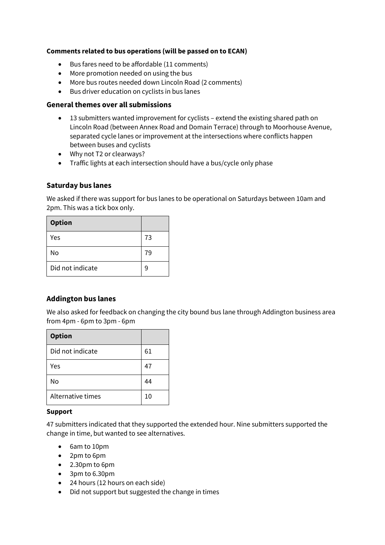#### **Comments related to bus operations (will be passed on to ECAN)**

- Bus fares need to be affordable (11 comments)
- More promotion needed on using the bus
- More bus routes needed down Lincoln Road (2 comments)
- Bus driver education on cyclists in bus lanes

#### **General themes over all submissions**

- 13 submitters wanted improvement for cyclists extend the existing shared path on Lincoln Road (between Annex Road and Domain Terrace) through to Moorhouse Avenue, separated cycle lanes or improvement at the intersections where conflicts happen between buses and cyclists
- Why not T2 or clearways?
- Traffic lights at each intersection should have a bus/cycle only phase

#### **Saturday bus lanes**

We asked if there was support for bus lanes to be operational on Saturdays between 10am and 2pm. This was a tick box only.

| <b>Option</b>    |    |
|------------------|----|
| Yes              | 73 |
| No               | 79 |
| Did not indicate | 9  |

#### **Addington bus lanes**

We also asked for feedback on changing the city bound bus lane through Addington business area from 4pm - 6pm to 3pm - 6pm

| <b>Option</b>     |    |
|-------------------|----|
| Did not indicate  | 61 |
| Yes               | 47 |
| No                | 44 |
| Alternative times | 10 |

#### **Support**

47 submitters indicated that they supported the extended hour. Nine submitters supported the change in time, but wanted to see alternatives.

- 6am to 10pm
- 2pm to 6pm
- 2.30pm to 6pm
- 3pm to 6.30pm
- 24 hours (12 hours on each side)
- Did not support but suggested the change in times